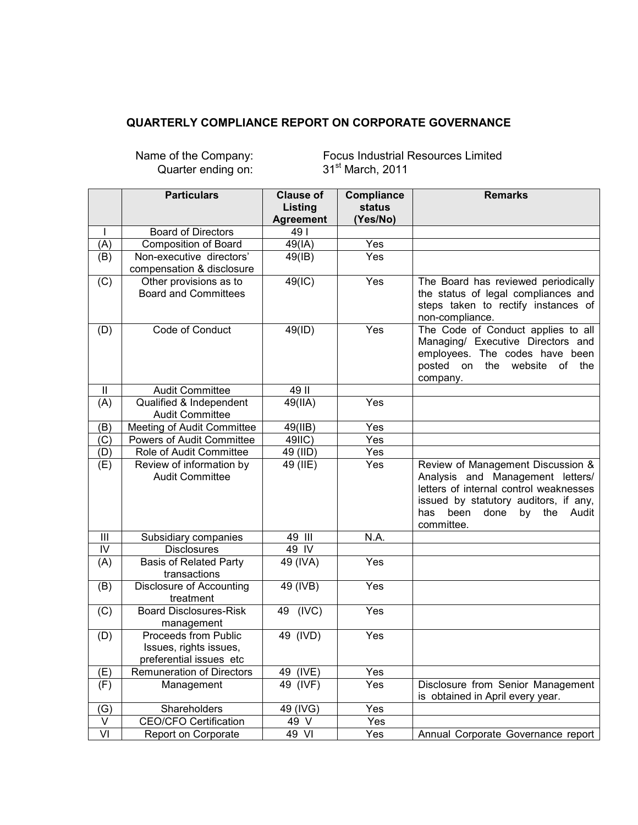## **QUARTERLY COMPLIANCE REPORT ON CORPORATE GOVERNANCE**

Quarter ending on: 31<sup>st</sup> March, 2011

Name of the Company: Focus Industrial Resources Limited

|                         | <b>Particulars</b>                                                        | <b>Clause of</b>       | <b>Compliance</b> | <b>Remarks</b>                                                                                                                                                                                                      |
|-------------------------|---------------------------------------------------------------------------|------------------------|-------------------|---------------------------------------------------------------------------------------------------------------------------------------------------------------------------------------------------------------------|
|                         |                                                                           | Listing                | <b>status</b>     |                                                                                                                                                                                                                     |
|                         | <b>Board of Directors</b>                                                 | <b>Agreement</b><br>49 | (Yes/No)          |                                                                                                                                                                                                                     |
|                         | <b>Composition of Board</b>                                               | 49(IA)                 | Yes               |                                                                                                                                                                                                                     |
| (A)<br>(B)              | Non-executive directors'                                                  | $49$ (IB)              | Yes               |                                                                                                                                                                                                                     |
|                         | compensation & disclosure                                                 |                        |                   |                                                                                                                                                                                                                     |
| (C)                     | Other provisions as to<br><b>Board and Committees</b>                     | 49(IC)                 | Yes               | The Board has reviewed periodically<br>the status of legal compliances and<br>steps taken to rectify instances of<br>non-compliance.                                                                                |
| (D)                     | Code of Conduct                                                           | 49(ID)                 | Yes               | The Code of Conduct applies to all<br>Managing/ Executive Directors and<br>employees. The codes have been<br>posted on the website<br>of the<br>company.                                                            |
| Ш                       | <b>Audit Committee</b>                                                    | 49 II                  |                   |                                                                                                                                                                                                                     |
| (A)                     | Qualified & Independent<br><b>Audit Committee</b>                         | $49$ (IIA)             | Yes               |                                                                                                                                                                                                                     |
| (B)                     | Meeting of Audit Committee                                                | 49(IIB)                | Yes               |                                                                                                                                                                                                                     |
| (C)                     | Powers of Audit Committee                                                 | 49IIC)                 | Yes               |                                                                                                                                                                                                                     |
| (D)                     | Role of Audit Committee                                                   | 49 (IID)               | Yes               |                                                                                                                                                                                                                     |
| (E)                     | Review of information by<br><b>Audit Committee</b>                        | 49 (IIE)               | Yes               | Review of Management Discussion &<br>Analysis and Management letters/<br>letters of internal control weaknesses<br>issued by statutory auditors, if any,<br>been<br>the<br>has<br>done<br>by<br>Audit<br>committee. |
| III                     | Subsidiary companies                                                      | 49 III                 | N.A.              |                                                                                                                                                                                                                     |
| $\overline{N}$          | <b>Disclosures</b>                                                        | 49 IV                  |                   |                                                                                                                                                                                                                     |
| (A)                     | <b>Basis of Related Party</b><br>transactions                             | 49 (IVA)               | Yes               |                                                                                                                                                                                                                     |
| (B)                     | <b>Disclosure of Accounting</b><br>treatment                              | 49 (IVB)               | Yes               |                                                                                                                                                                                                                     |
| (C)                     | <b>Board Disclosures-Risk</b><br>management                               | 49 (IVC)               | Yes               |                                                                                                                                                                                                                     |
| (D)                     | Proceeds from Public<br>Issues, rights issues,<br>preferential issues etc | 49 (IVD)               | Yes               |                                                                                                                                                                                                                     |
| (E)                     | <b>Remuneration of Directors</b>                                          | 49 (IVE)               | Yes               |                                                                                                                                                                                                                     |
| (F)                     | Management                                                                | 49 (IVF)               | Yes               | Disclosure from Senior Management<br>is obtained in April every year.                                                                                                                                               |
| (G)                     | Shareholders                                                              | 49 (IVG)               | Yes               |                                                                                                                                                                                                                     |
| $\overline{\mathsf{V}}$ | <b>CEO/CFO Certification</b>                                              | 49 $\sqrt{ }$          | Yes               |                                                                                                                                                                                                                     |
| $\overline{VI}$         | Report on Corporate                                                       | 49 VI                  | Yes               | Annual Corporate Governance report                                                                                                                                                                                  |